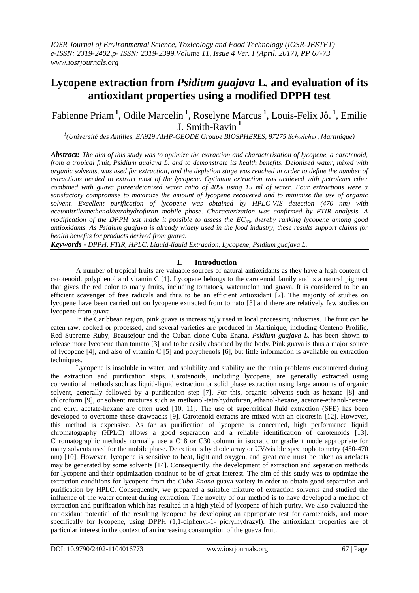# **Lycopene extraction from** *Psidium guajava* **L***.* **and evaluation of its antioxidant properties using a modified DPPH test**

Fabienne Priam**<sup>1</sup>** , Odile Marcelin **<sup>1</sup>** , Roselyne Marcus **<sup>1</sup>** , Louis-Felix Jô. **<sup>1</sup>** , Emilie J. Smith-Ravin **<sup>1</sup>**

*1 (Université des Antilles, EA929 AIHP-GEODE Groupe BIOSPHERES, 97275 Schœlcher, Martinique)*

*Abstract: The aim of this study was to optimize the extraction and characterization of lycopene, a carotenoid, from a tropical fruit, Psidium guajava L. and to demonstrate its health benefits. Deionised water, mixed with organic solvents, was used for extraction, and the depletion stage was reached in order to define the number of extractions needed to extract most of the lycopene. Optimum extraction was achieved with petroleum ether combined with guava puree:deionised water ratio of 40% using 15 ml of water. Four extractions were a satisfactory compromise to maximize the amount of lycopene recovered and to minimize the use of organic solvent. Excellent purification of lycopene was obtained by HPLC-VIS detection (470 nm) with acetonitrile/methanol/tetrahydrofuran mobile phase. Characterization was confirmed by FTIR analysis. A modification of the DPPH test made it possible to assess the EC50, thereby ranking lycopene among good antioxidants. As Psidium guajava is already widely used in the food industry, these results support claims for health benefits for products derived from guava.*

*Keywords - DPPH, FTIR, HPLC, Liquid-liquid Extraction, Lycopene, Psidium guajava L.* 

# **I. Introduction**

A number of tropical fruits are valuable sources of natural antioxidants as they have a high content of carotenoid, polyphenol and vitamin C [1]. Lycopene belongs to the carotenoid family and is a natural pigment that gives the red color to many fruits, including tomatoes, watermelon and guava. It is considered to be an efficient scavenger of free radicals and thus to be an efficient antioxidant [2]. The majority of studies on lycopene have been carried out on lycopene extracted from tomato [3] and there are relatively few studies on lycopene from guava.

In the Caribbean region, pink guava is increasingly used in local processing industries. The fruit can be eaten raw, cooked or processed, and several varieties are produced in Martinique, including Centeno Prolific, Red Supreme Ruby, Beausejour and the Cuban clone Cuba Enana. *Psidium guajava L*. has been shown to release more lycopene than tomato [3] and to be easily absorbed by the body. Pink guava is thus a major source of lycopene [4], and also of vitamin C [5] and polyphenols [6], but little information is available on extraction techniques.

Lycopene is insoluble in water, and solubility and stability are the main problems encountered during the extraction and purification steps. Carotenoids, including lycopene, are generally extracted using conventional methods such as liquid-liquid extraction or solid phase extraction using large amounts of organic solvent, generally followed by a purification step [7]. For this, organic solvents such as hexane [8] and chloroform [9], or solvent mixtures such as methanol-tetrahydrofuran, ethanol-hexane, acetone-ethanol-hexane and ethyl acetate-hexane are often used [10, 11]. The use of supercritical fluid extraction (SFE) has been developed to overcome these drawbacks [9]. Carotenoid extracts are mixed with an oleoresin [12]. However, this method is expensive. As far as purification of lycopene is concerned, high performance liquid chromatography (HPLC) allows a good separation and a reliable identification of carotenoids [13]. Chromatographic methods normally use a C18 or C30 column in isocratic or gradient mode appropriate for many solvents used for the mobile phase. Detection is by diode array or UV/visible spectrophotometry (450-470 nm) [10]. However, lycopene is sensitive to heat, light and oxygen, and great care must be taken as artefacts may be generated by some solvents [14]. Consequently, the development of extraction and separation methods for lycopene and their optimization continue to be of great interest. The aim of this study was to optimize the extraction conditions for lycopene from the *Cuba Enana* guava variety in order to obtain good separation and purification by HPLC. Consequently, we prepared a suitable mixture of extraction solvents and studied the influence of the water content during extraction. The novelty of our method is to have developed a method of extraction and purification which has resulted in a high yield of lycopene of high purity. We also evaluated the antioxidant potential of the resulting lycopene by developing an appropriate test for carotenoids, and more specifically for lycopene, using DPPH (1,1-diphenyl-1- picrylhydrazyl). The antioxidant properties are of particular interest in the context of an increasing consumption of the guava fruit.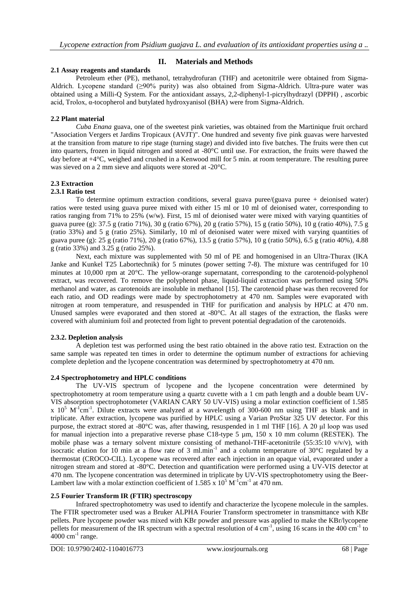# **II. Materials and Methods**

### **2.1 Assay reagents and standards**

Petroleum ether (PE), methanol, tetrahydrofuran (THF) and acetonitrile were obtained from Sigma-Aldrich. Lycopene standard (≥90% purity) was also obtained from Sigma-Aldrich. Ultra-pure water was obtained using a Milli-Q System. For the antioxidant assays, 2,2-diphenyl-1-picrylhydrazyl (DPPH) , ascorbic acid, Trolox, α-tocopherol and butylated hydroxyanisol (BHA) were from Sigma-Aldrich.

# **2.2 Plant material**

*Cuba Enana* guava, one of the sweetest pink varieties, was obtained from the Martinique fruit orchard "Association Vergers et Jardins Tropicaux (AVJT)". One hundred and seventy five pink guavas were harvested at the transition from mature to ripe stage (turning stage) and divided into five batches. The fruits were then cut into quarters, frozen in liquid nitrogen and stored at -80°C until use. For extraction, the fruits were thawed the day before at +4°C, weighed and crushed in a Kenwood mill for 5 min. at room temperature. The resulting puree was sieved on a 2 mm sieve and aliquots were stored at -20°C.

# **2.3 Extraction**

# **2.3.1 Ratio test**

To determine optimum extraction conditions, several guava puree/(guava puree + deionised water) ratios were tested using guava puree mixed with either 15 ml or 10 ml of deionised water, corresponding to ratios ranging from 71% to 25% (w/w). First, 15 ml of deionised water were mixed with varying quantities of guava puree (g): 37.5 g (ratio 71%), 30 g (ratio 67%), 20 g (ratio 57%), 15 g (ratio 50%), 10 g (ratio 40%), 7.5 g (ratio 33%) and 5 g (ratio 25%). Similarly, 10 ml of deionised water were mixed with varying quantities of guava puree (g): 25 g (ratio 71%), 20 g (ratio 67%), 13.5 g (ratio 57%), 10 g (ratio 50%), 6.5 g (ratio 40%), 4.88 g (ratio 33%) and 3.25 g (ratio 25%).

Next, each mixture was supplemented with 50 ml of PE and homogenised in an Ultra-Thurax (IKA Janke and Kunkel T25 Labortechnik) for 5 minutes (power setting 7-8). The mixture was centrifuged for 10 minutes at 10,000 rpm at 20°C. The yellow-orange supernatant, corresponding to the carotenoid-polyphenol extract, was recovered. To remove the polyphenol phase, liquid-liquid extraction was performed using 50% methanol and water, as carotenoids are insoluble in methanol [15]. The carotenoid phase was then recovered for each ratio, and OD readings were made by spectrophotometry at 470 nm. Samples were evaporated with nitrogen at room temperature, and resuspended in THF for purification and analysis by HPLC at 470 nm. Unused samples were evaporated and then stored at -80°C. At all stages of the extraction, the flasks were covered with aluminium foil and protected from light to prevent potential degradation of the carotenoids.

# **2.3.2. Depletion analysis**

A depletion test was performed using the best ratio obtained in the above ratio test. Extraction on the same sample was repeated ten times in order to determine the optimum number of extractions for achieving complete depletion and the lycopene concentration was determined by spectrophotometry at 470 nm.

# **2.4 Spectrophotometry and HPLC conditions**

The UV-VIS spectrum of lycopene and the lycopene concentration were determined by spectrophotometry at room temperature using a quartz cuvette with a 1 cm path length and a double beam UV-VIS absorption spectrophotometer (VARIAN CARY 50 UV-VIS) using a molar extinction coefficient of 1.585 x  $10^5$  M<sup>-1</sup>cm<sup>-1</sup>. Dilute extracts were analyzed at a wavelength of 300-600 nm using THF as blank and in triplicate. After extraction, lycopene was purified by HPLC using a Varian ProStar 325 UV detector. For this purpose, the extract stored at -80°C was, after thawing, resuspended in 1 ml THF [16]. A 20 μl loop was used for manual injection into a preparative reverse phase C18-type 5 µm, 150 x 10 mm column (RESTEK). The mobile phase was a ternary solvent mixture consisting of methanol-THF-acetonitrile (55:35:10 v/v/v), with isocratic elution for 10 min at a flow rate of 3 ml.min<sup>-1</sup> and a column temperature of 30°C regulated by a thermostat (CROCO-CIL). Lycopene was recovered after each injection in an opaque vial, evaporated under a nitrogen stream and stored at -80°C. Detection and quantification were performed using a UV-VIS detector at 470 nm. The lycopene concentration was determined in triplicate by UV-VIS spectrophotometry using the Beer-Lambert law with a molar extinction coefficient of 1.585 x  $10^5$  M<sup>-1</sup>cm<sup>-1</sup> at 470 nm.

# **2.5 Fourier Transform IR (FTIR) spectroscopy**

Infrared spectrophotometry was used to identify and characterize the lycopene molecule in the samples. The FTIR spectrometer used was a Bruker ALPHA Fourier Transform spectrometer in transmittance with KBr pellets. Pure lycopene powder was mixed with KBr powder and pressure was applied to make the KBr/lycopene pellets for measurement of the IR spectrum with a spectral resolution of  $4 \text{ cm}^{-1}$ , using 16 scans in the 400 cm<sup>-1</sup> to  $4000 \text{ cm}^{-1}$  range.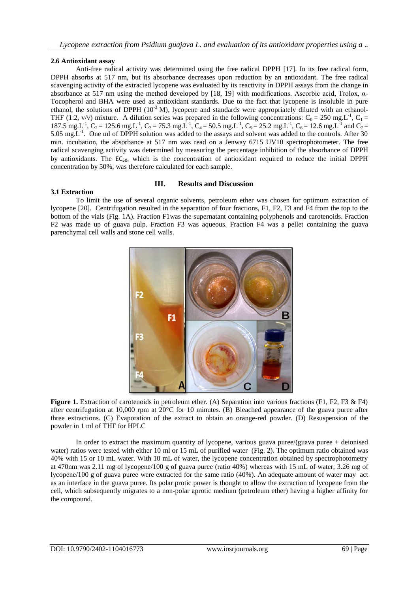#### **2.6 Antioxidant assay**

Anti-free radical activity was determined using the free radical DPPH [17]. In its free radical form, DPPH absorbs at 517 nm, but its absorbance decreases upon reduction by an antioxidant. The free radical scavenging activity of the extracted lycopene was evaluated by its reactivity in DPPH assays from the change in absorbance at 517 nm using the method developed by [18, 19] with modifications. Ascorbic acid, Trolox, α-Tocopherol and BHA were used as antioxidant standards. Due to the fact that lycopene is insoluble in pure ethanol, the solutions of DPPH  $(10^{-3}$  M), lycopene and standards were appropriately diluted with an ethanol-THF (1:2, v/v) mixture. A dilution series was prepared in the following concentrations:  $C_0 = 250$  mg.L<sup>-1</sup>,  $C_1 =$ 187.5 mg.L<sup>-1</sup>, C<sub>2</sub> = 125.6 mg.L<sup>-1</sup>, C<sub>3</sub> = 75.3 mg.L<sup>-1</sup>, C<sub>4</sub> = 50.5 mg.L<sup>-1</sup>, C<sub>5</sub> = 25.2 mg.L<sup>-1</sup>, C<sub>6</sub> = 12.6 mg.L<sup>-1</sup> and C<sub>7</sub> = 5.05 mg.  $L^{-1}$ . One ml of DPPH solution was added to the assays and solvent was added to the controls. After 30 min. incubation, the absorbance at 517 nm was read on a Jenway 6715 UV10 spectrophotometer. The free radical scavenging activity was determined by measuring the percentage inhibition of the absorbance of DPPH by antioxidants. The  $EC_{50}$ , which is the concentration of antioxidant required to reduce the initial DPPH concentration by 50%, was therefore calculated for each sample.

#### **III. Results and Discussion**

#### **3.1 Extraction**

To limit the use of several organic solvents, petroleum ether was chosen for optimum extraction of lycopene [20]. Centrifugation resulted in the separation of four fractions, F1, F2, F3 and F4 from the top to the bottom of the vials (Fig. 1A). Fraction F1was the supernatant containing polyphenols and carotenoids. Fraction F2 was made up of guava pulp. Fraction F3 was aqueous. Fraction F4 was a pellet containing the guava parenchymal cell walls and stone cell walls.



**Figure 1.** Extraction of carotenoids in petroleum ether. (A) Separation into various fractions (F1, F2, F3 & F4) after centrifugation at 10,000 rpm at 20°C for 10 minutes. (B) Bleached appearance of the guava puree after three extractions. (C) Evaporation of the extract to obtain an orange-red powder. (D) Resuspension of the powder in 1 ml of THF for HPLC

In order to extract the maximum quantity of lycopene, various guava puree/(guava puree + deionised water) ratios were tested with either 10 ml or 15 mL of purified water (Fig. 2). The optimum ratio obtained was 40% with 15 or 10 mL water. With 10 mL of water, the lycopene concentration obtained by spectrophotometry at 470nm was 2.11 mg of lycopene/100 g of guava puree (ratio 40%) whereas with 15 mL of water, 3.26 mg of lycopene/100 g of guava puree were extracted for the same ratio (40%). An adequate amount of water may act as an interface in the guava puree. Its polar protic power is thought to allow the extraction of lycopene from the cell, which subsequently migrates to a non-polar aprotic medium (petroleum ether) having a higher affinity for the compound.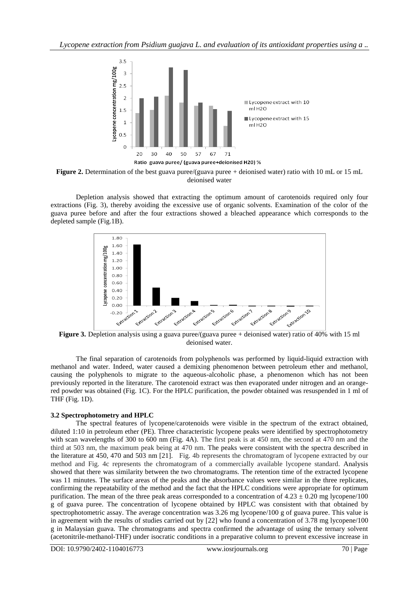*Lycopene extraction from Psidium guajava L. and evaluation of its antioxidant properties using a ..*



**Figure 2.** Determination of the best guava puree/(guava puree + deionised water) ratio with 10 mL or 15 mL deionised water

Depletion analysis showed that extracting the optimum amount of carotenoids required only four extractions (Fig. 3), thereby avoiding the excessive use of organic solvents. Examination of the color of the guava puree before and after the four extractions showed a bleached appearance which corresponds to the depleted sample (Fig.1B).



**Figure 3.** Depletion analysis using a guava puree/(guava puree + deionised water) ratio of 40% with 15 ml deionised water.

The final separation of carotenoids from polyphenols was performed by liquid-liquid extraction with methanol and water. Indeed, water caused a demixing phenomenon between petroleum ether and methanol, causing the polyphenols to migrate to the aqueous-alcoholic phase, a phenomenon which has not been previously reported in the literature. The carotenoid extract was then evaporated under nitrogen and an orangered powder was obtained (Fig. 1C). For the HPLC purification, the powder obtained was resuspended in 1 ml of THF (Fig. 1D).

#### **3.2 Spectrophotometry and HPLC**

The spectral features of lycopene/carotenoids were visible in the spectrum of the extract obtained, diluted 1:10 in petroleum ether (PE). Three characteristic lycopene peaks were identified by spectrophotometry with scan wavelengths of 300 to 600 nm (Fig. 4A). The first peak is at 450 nm, the second at 470 nm and the third at 503 nm, the maximum peak being at 470 nm. The peaks were consistent with the spectra described in the literature at 450, 470 and 503 nm [21]. Fig. 4b represents the chromatogram of lycopene extracted by our method and Fig. 4c represents the chromatogram of a commercially available lycopene standard. Analysis showed that there was similarity between the two chromatograms. The retention time of the extracted lycopene was 11 minutes. The surface areas of the peaks and the absorbance values were similar in the three replicates, confirming the repeatability of the method and the fact that the HPLC conditions were appropriate for optimum purification. The mean of the three peak areas corresponded to a concentration of  $4.23 \pm 0.20$  mg lycopene/100 g of guava puree. The concentration of lycopene obtained by HPLC was consistent with that obtained by spectrophotometric assay. The average concentration was 3.26 mg lycopene/100 g of guava puree. This value is in agreement with the results of studies carried out by [22] who found a concentration of 3.78 mg lycopene/100 g in Malaysian guava. The chromatograms and spectra confirmed the advantage of using the ternary solvent (acetonitrile-methanol-THF) under isocratic conditions in a preparative column to prevent excessive increase in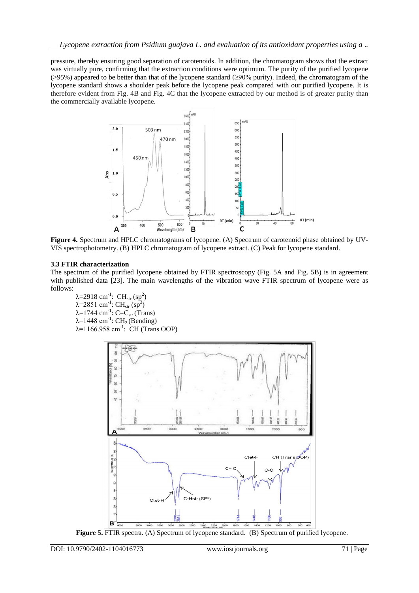pressure, thereby ensuring good separation of carotenoids. In addition, the chromatogram shows that the extract was virtually pure, confirming that the extraction conditions were optimum. The purity of the purified lycopene (>95%) appeared to be better than that of the lycopene standard (≥90% purity). Indeed, the chromatogram of the lycopene standard shows a shoulder peak before the lycopene peak compared with our purified lycopene. It is therefore evident from Fig. 4B and Fig. 4C that the lycopene extracted by our method is of greater purity than the commercially available lycopene.



**Figure 4.** Spectrum and HPLC chromatograms of lycopene. (A) Spectrum of carotenoid phase obtained by UV-VIS spectrophotometry. (B) HPLC chromatogram of lycopene extract. (C) Peak for lycopene standard.

# **3.3 FTIR characterization**

The spectrum of the purified lycopene obtained by FTIR spectroscopy (Fig. 5A and Fig. 5B) is in agreement with published data [23]. The main wavelengths of the vibration wave FTIR spectrum of lycopene were as follows:

λ=2918 cm<sup>-1</sup>: CH<sub>str</sub> (sp<sup>2</sup>) λ=2851 cm<sup>-1</sup>: CH<sub>str</sub> (sp<sup>3</sup>)  $λ=1744$  cm<sup>-1</sup>: C=C<sub>str</sub> (Trans)  $λ=1448$  cm<sup>-1</sup>: CH<sub>2</sub> (Bending)  $\lambda$ =1166.958 cm<sup>-1</sup>: CH (Trans OOP)



**Figure 5.** FTIR spectra. (A) Spectrum of lycopene standard. (B) Spectrum of purified lycopene.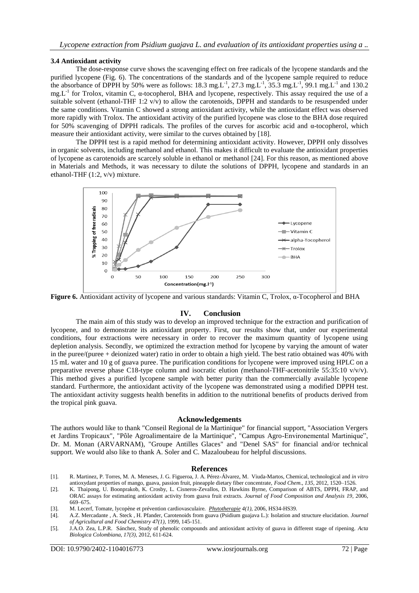#### **3.4 Antioxidant activity**

The dose-response curve shows the scavenging effect on free radicals of the lycopene standards and the purified lycopene (Fig. 6). The concentrations of the standards and of the lycopene sample required to reduce the absorbance of DPPH by 50% were as follows: 18.3 mg.L<sup>-1</sup>, 27.3 mg.L<sup>-1</sup>, 35.3 mg.L<sup>-1</sup>, 99.1 mg.L<sup>-1</sup> and 130.2  $mg.L^{-1}$  for Trolox, vitamin C,  $\alpha$ -tocopherol, BHA and lycopene, respectively. This assay required the use of a suitable solvent (ethanol-THF 1:2 v/v) to allow the carotenoids, DPPH and standards to be resuspended under the same conditions. Vitamin C showed a strong antioxidant activity, while the antioxidant effect was observed more rapidly with Trolox. The antioxidant activity of the purified lycopene was close to the BHA dose required for 50% scavenging of DPPH radicals. The profiles of the curves for ascorbic acid and α-tocopherol, which measure their antioxidant activity, were similar to the curves obtained by [18].

The DPPH test is a rapid method for determining antioxidant activity. However, DPPH only dissolves in organic solvents, including methanol and ethanol. This makes it difficult to evaluate the antioxidant properties of lycopene as carotenoids are scarcely soluble in ethanol or methanol [24]. For this reason, as mentioned above in Materials and Methods, it was necessary to dilute the solutions of DPPH, lycopene and standards in an ethanol-THF (1:2, v/v) mixture.



**Figure 6.** Antioxidant activity of lycopene and various standards: Vitamin C, Trolox, α-Tocopherol and BHA

#### **IV. Conclusion**

The main aim of this study was to develop an improved technique for the extraction and purification of lycopene, and to demonstrate its antioxidant property. First, our results show that, under our experimental conditions, four extractions were necessary in order to recover the maximum quantity of lycopene using depletion analysis. Secondly, we optimized the extraction method for lycopene by varying the amount of water in the puree/(puree + deionized water) ratio in order to obtain a high yield. The best ratio obtained was 40% with 15 mL water and 10 g of guava puree. The purification conditions for lycopene were improved using HPLC on a preparative reverse phase C18-type column and isocratic elution *(*methanol-THF-acetonitrile 55:35:10 v/v/v). This method gives a purified lycopene sample with better purity than the commercially available lycopene standard*.* Furthermore, the antioxidant activity of the lycopene was demonstrated using a modified DPPH test. The antioxidant activity suggests health benefits in addition to the nutritional benefits of products derived from the tropical pink guava.

#### **Acknowledgements**

The authors would like to thank "Conseil Regional de la Martinique" for financial support, "Association Vergers et Jardins Tropicaux", "Pôle Agroalimentaire de la Martinique", "Campus Agro-Environemental Martinique", Dr. M. Monan (ARVARNAM), "Groupe Antilles Glaces" and "Denel SAS" for financial and/or technical support. We would also like to thank A. Soler and C. Mazaloubeau for helpful discussions.

#### **References**

- [1]. R. Martinez, P. Torres, M. A. Meneses, J. G. Figueroa, J. A. Pérez-Álvarez, M. Viuda-Martos, Chemical, technological and *in vitro* antioxydant properties of mango, guava, passion fruit, pineapple dietary fiber concentrate, *Food Chem*., *135*, 2012, 1520–1526.
- [2]. K. Thaipong, U. Boonprakob, K. Crosby, L. Cisneros-Zevallos, D. Hawkins Byrne, Comparison of ABTS, DPPH, FRAP, and ORAC assays for estimating antioxidant activity from guava fruit extracts. *Journal of Food Composition and Analysis 19*, 2006, 669–675.
- [3]. M. Lecerf, Tomate, lycopène et prévention cardiovasculaire. *[Phytotherapie](http://www.scopus.com.bu-services.martinique.univ-ag.fr:5000/source/sourceInfo.url?sourceId=130170&origin=resultslist) 4(1)*, 2006, HS34-HS39.
- [4]. A.Z. [Mercadante ,](http://www.scopus.com.bu-services.martinique.univ-ag.fr:5000/authid/detail.url?origin=resultslist&authorId=6701691981&zone=) A. [Steck ,](http://www.scopus.com.bu-services.martinique.univ-ag.fr:5000/authid/detail.url?origin=resultslist&authorId=7103349683&zone=) H. [Pfander,](http://www.scopus.com.bu-services.martinique.univ-ag.fr:5000/authid/detail.url?origin=resultslist&authorId=7004596018&zone=) [Carotenoids from guava \(Psidium guajava L.\): Isolation and structure elucidation.](http://www.scopus.com.bu-services.martinique.univ-ag.fr:5000/record/display.url?eid=2-s2.0-0032949935&origin=resultslist&sort=plf-f&src=s&st1=Mercadante+&nlo=&nlr=&nls=&sid=8D0EF73E0A09DDA91C496304338509ED.WXhD7YyTQ6A7Pvk9AlA%3a480&sot=q&sdt=cl&cluster=scopubyr%2c%221999%22%2ct&sl=31&s=TITLE-ABS-KEY-AUTH%28Mercadante+%29&ref=%28lycopene%29&relpos=0&relpos=0&citeCnt=66&searchTerm=%28TITLE-ABS-KEY-AUTH%28Mercadante+%29%29+AND+%28lycopene%29+AND+%28+LIMIT-TO%28PUBYEAR%2C1999%29+%29+) *[Journal](http://www.scopus.com.bu-services.martinique.univ-ag.fr:5000/source/sourceInfo.url?sourceId=33722&origin=resultslist)  [of Agricultural and Food Chemistry](http://www.scopus.com.bu-services.martinique.univ-ag.fr:5000/source/sourceInfo.url?sourceId=33722&origin=resultslist) 47(1),* 1999, 145-151.
- [5]. J.A.O. Zea, L.P.R. Sánchez, Study of phenolic compounds and antioxidant activity of guava in different stage of ripening. *Acta Biologica Colombiana*, *17(3),* 2012, 611-624.